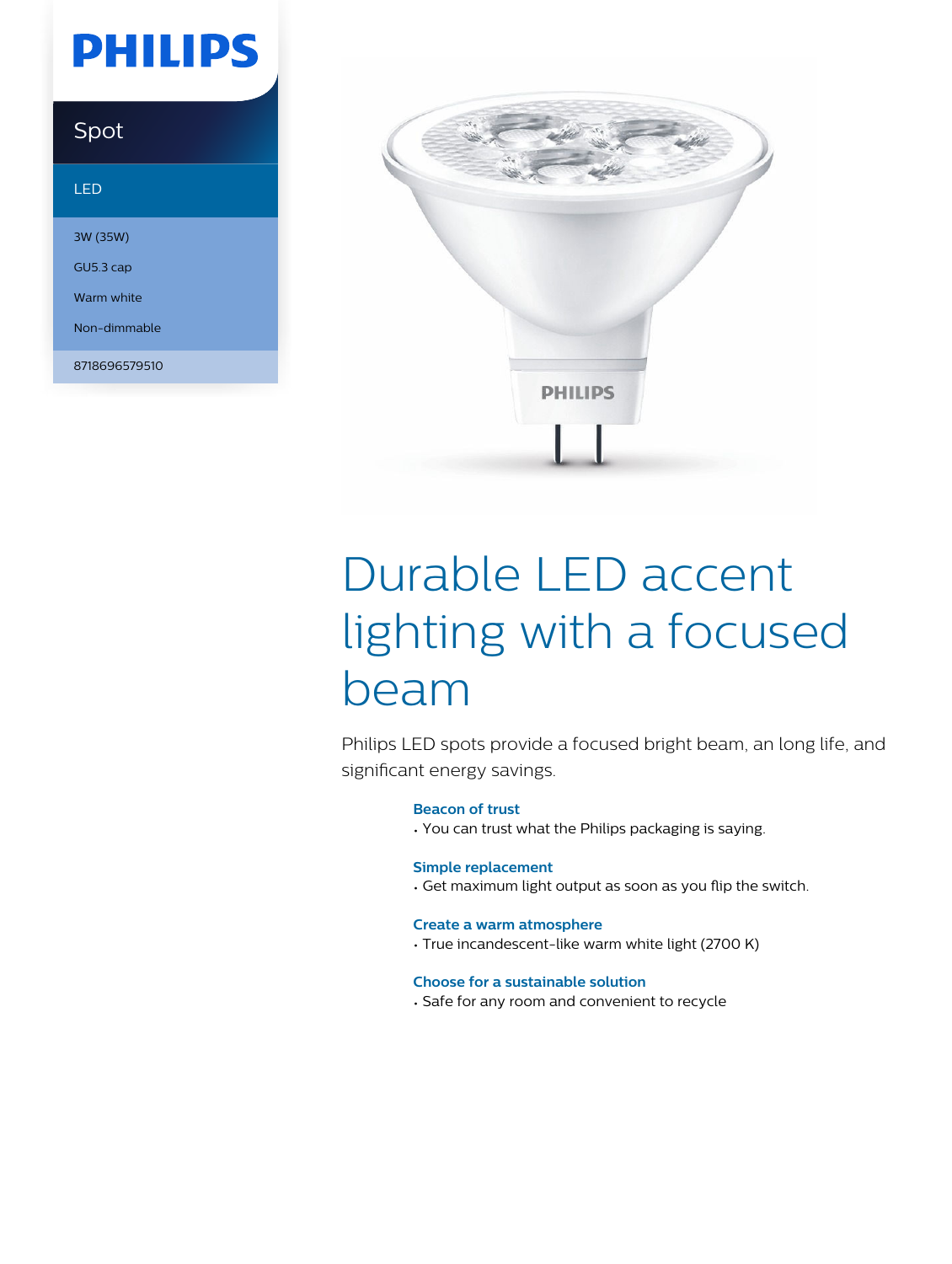# **PHILIPS**

## Spot

### LED

3W (35W) GU5.3 cap Warm white Non-dimmable

8718696579510



# Durable LED accent lighting with a focused beam

Philips LED spots provide a focused bright beam, an long life, and significant energy savings.

### **Beacon of trust**

• You can trust what the Philips packaging is saying.

### **Simple replacement**

• Get maximum light output as soon as you flip the switch.

#### **Create a warm atmosphere**

• True incandescent-like warm white light (2700 K)

### **Choose for a sustainable solution**

• Safe for any room and convenient to recycle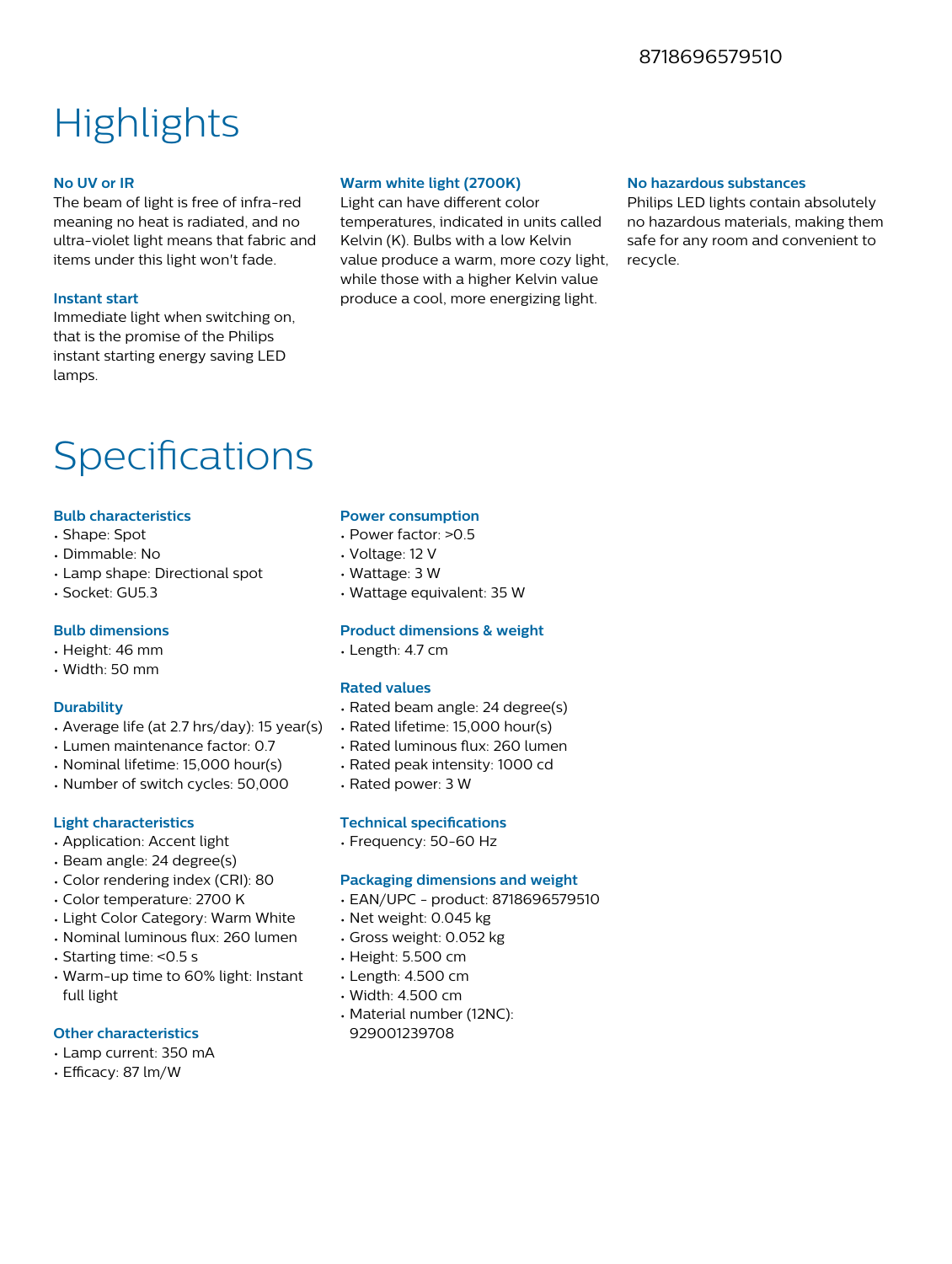### 8718696579510

# **Highlights**

### **No UV or IR**

The beam of light is free of infra-red meaning no heat is radiated, and no ultra-violet light means that fabric and items under this light won't fade.

### **Instant start**

Immediate light when switching on, that is the promise of the Philips instant starting energy saving LED lamps.

### **Warm white light (2700K)**

Light can have different color temperatures, indicated in units called Kelvin (K). Bulbs with a low Kelvin value produce a warm, more cozy light, while those with a higher Kelvin value produce a cool, more energizing light.

### **No hazardous substances**

Philips LED lights contain absolutely no hazardous materials, making them safe for any room and convenient to recycle.

## Specifications

### **Bulb characteristics**

- Shape: Spot
- Dimmable: No
- Lamp shape: Directional spot
- Socket: GU5.3

### **Bulb dimensions**

- Height: 46 mm
- Width: 50 mm

### **Durability**

- Average life (at 2.7 hrs/day): 15 year(s)
- Lumen maintenance factor: 0.7
- Nominal lifetime: 15,000 hour(s)
- Number of switch cycles: 50,000

### **Light characteristics**

- Application: Accent light
- Beam angle: 24 degree(s)
- Color rendering index (CRI): 80
- Color temperature: 2700 K
- Light Color Category: Warm White
- Nominal luminous flux: 260 lumen
- Starting time: <0.5 s
- Warm-up time to 60% light: Instant full light

### **Other characteristics**

- Lamp current: 350 mA
- Efficacy: 87 lm/W

#### **Power consumption**

- Power factor: >0.5
- Voltage: 12 V
- Wattage: 3 W
- Wattage equivalent: 35 W

### **Product dimensions & weight**

• Length: 4.7 cm

### **Rated values**

- Rated beam angle: 24 degree(s)
- Rated lifetime: 15,000 hour(s)
- Rated luminous flux: 260 lumen
- Rated peak intensity: 1000 cd
- Rated power: 3 W

### **Technical specifications**

• Frequency: 50-60 Hz

### **Packaging dimensions and weight**

- EAN/UPC product: 8718696579510
- Net weight: 0.045 kg
- Gross weight: 0.052 kg
- Height: 5.500 cm
- Length: 4.500 cm
- Width: 4.500 cm
- Material number (12NC): 929001239708